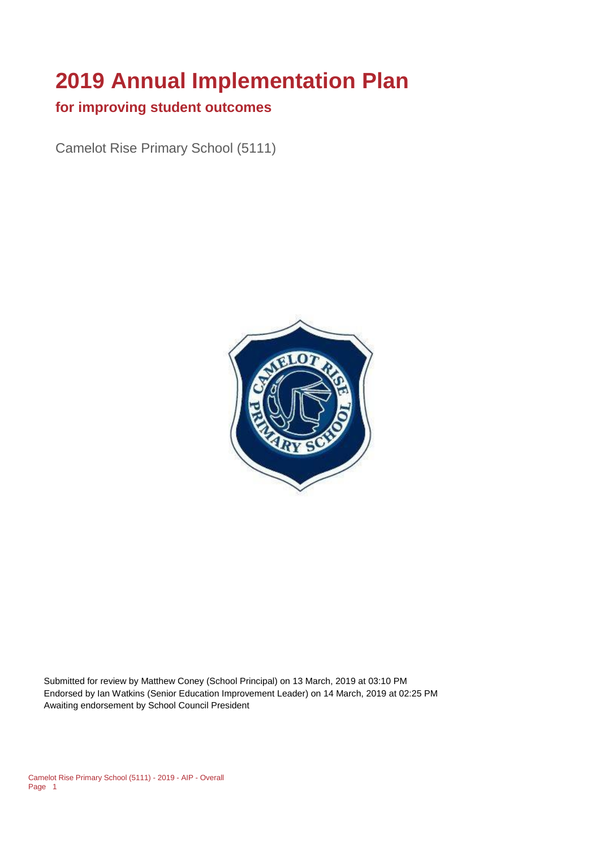# **2019 Annual Implementation Plan**

#### **for improving student outcomes**

Camelot Rise Primary School (5111)



Submitted for review by Matthew Coney (School Principal) on 13 March, 2019 at 03:10 PM Endorsed by Ian Watkins (Senior Education Improvement Leader) on 14 March, 2019 at 02:25 PM Awaiting endorsement by School Council President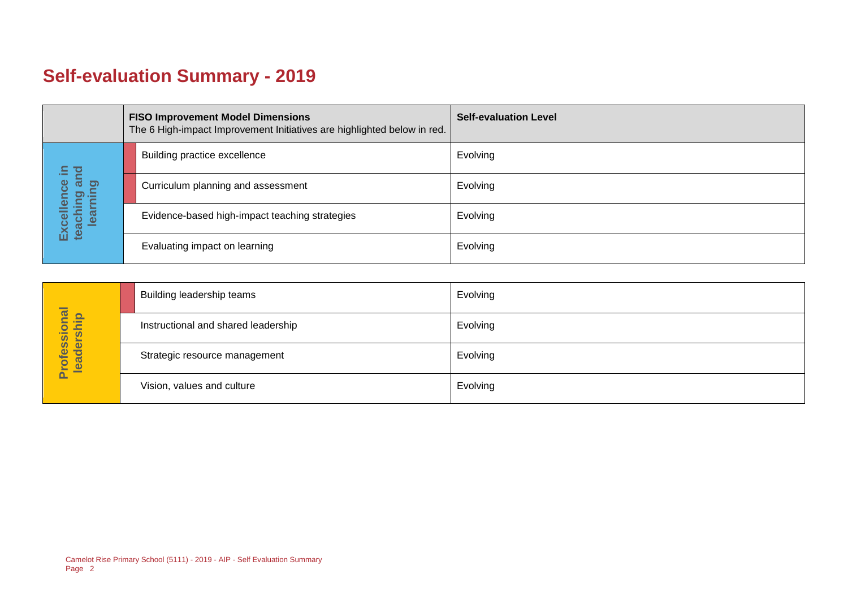## **Self-evaluation Summary - 2019**

|  |                                             | <b>FISO Improvement Model Dimensions</b><br>The 6 High-impact Improvement Initiatives are highlighted below in red. | <b>Self-evaluation Level</b> |
|--|---------------------------------------------|---------------------------------------------------------------------------------------------------------------------|------------------------------|
|  | 르.<br>ਠ                                     | Building practice excellence                                                                                        | Evolving                     |
|  | an<br>Excellence<br>teaching ar<br>learning | Curriculum planning and assessment                                                                                  | Evolving                     |
|  |                                             | Evidence-based high-impact teaching strategies                                                                      | Evolving                     |
|  |                                             | Evaluating impact on learning                                                                                       | Evolving                     |

|                            | Building leadership teams           | Evolving |
|----------------------------|-------------------------------------|----------|
| Professional<br>leadership | Instructional and shared leadership | Evolving |
|                            | Strategic resource management       | Evolving |
|                            | Vision, values and culture          | Evolving |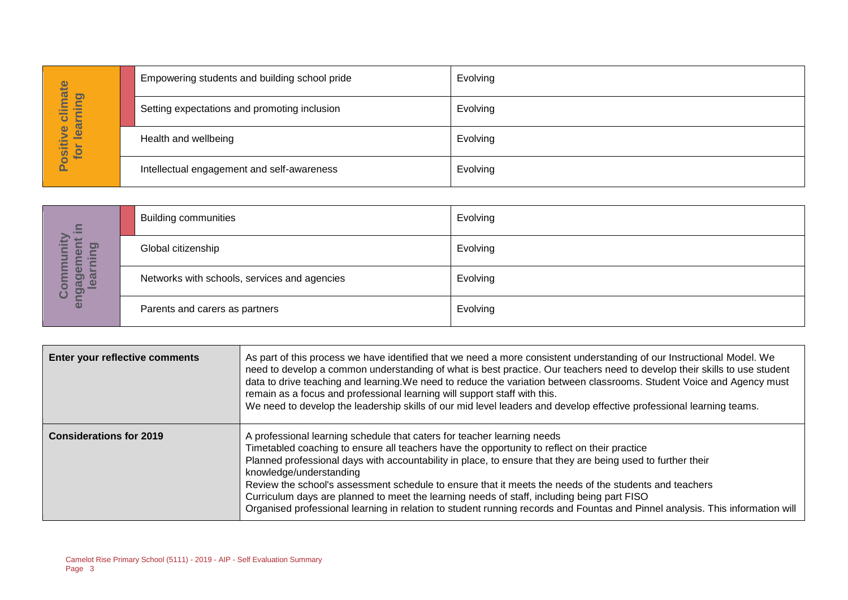|                                                   | Empowering students and building school pride | Evolving |
|---------------------------------------------------|-----------------------------------------------|----------|
| imate<br>pui<br>-<br>$\mathbf C$                  | Setting expectations and promoting inclusion  | Evolving |
| learr<br>$\overline{\mathbf{Q}}$<br>ositiv<br>tor | Health and wellbeing                          | Evolving |
| ௨                                                 | Intellectual engagement and self-awareness    | Evolving |

| $\subseteq$                                     | <b>Building communities</b>                  | Evolving |
|-------------------------------------------------|----------------------------------------------|----------|
| $\bullet$<br>O                                  | Global citizenship                           | Evolving |
| $\overline{(\bullet)}$<br><u> യ</u><br>nga<br>ပ | Networks with schools, services and agencies | Evolving |
| $\overline{\mathbf{a}}$                         | Parents and carers as partners               | Evolving |

|                                  | Empowering students and building school phae                              |                                                                                                                                                                                                                                                                                                                                                                                                                                                                                                                                                                                                                                                            | ⊏v∪ivi⊓g                                                                                                                                                                                                                                                                                                                                                                                                                                                                                              |  |
|----------------------------------|---------------------------------------------------------------------------|------------------------------------------------------------------------------------------------------------------------------------------------------------------------------------------------------------------------------------------------------------------------------------------------------------------------------------------------------------------------------------------------------------------------------------------------------------------------------------------------------------------------------------------------------------------------------------------------------------------------------------------------------------|-------------------------------------------------------------------------------------------------------------------------------------------------------------------------------------------------------------------------------------------------------------------------------------------------------------------------------------------------------------------------------------------------------------------------------------------------------------------------------------------------------|--|
| Positive climate<br>for learning |                                                                           | Setting expectations and promoting inclusion                                                                                                                                                                                                                                                                                                                                                                                                                                                                                                                                                                                                               | Evolving                                                                                                                                                                                                                                                                                                                                                                                                                                                                                              |  |
|                                  | Health and wellbeing                                                      |                                                                                                                                                                                                                                                                                                                                                                                                                                                                                                                                                                                                                                                            | Evolving                                                                                                                                                                                                                                                                                                                                                                                                                                                                                              |  |
|                                  |                                                                           | Intellectual engagement and self-awareness                                                                                                                                                                                                                                                                                                                                                                                                                                                                                                                                                                                                                 | Evolving                                                                                                                                                                                                                                                                                                                                                                                                                                                                                              |  |
|                                  |                                                                           |                                                                                                                                                                                                                                                                                                                                                                                                                                                                                                                                                                                                                                                            |                                                                                                                                                                                                                                                                                                                                                                                                                                                                                                       |  |
|                                  | <b>Building communities</b>                                               |                                                                                                                                                                                                                                                                                                                                                                                                                                                                                                                                                                                                                                                            | Evolving                                                                                                                                                                                                                                                                                                                                                                                                                                                                                              |  |
| learning                         | Global citizenship                                                        |                                                                                                                                                                                                                                                                                                                                                                                                                                                                                                                                                                                                                                                            | Evolving                                                                                                                                                                                                                                                                                                                                                                                                                                                                                              |  |
| engagement in<br>Community       | Networks with schools, services and agencies                              |                                                                                                                                                                                                                                                                                                                                                                                                                                                                                                                                                                                                                                                            | Evolving                                                                                                                                                                                                                                                                                                                                                                                                                                                                                              |  |
|                                  | Parents and carers as partners                                            |                                                                                                                                                                                                                                                                                                                                                                                                                                                                                                                                                                                                                                                            | Evolving                                                                                                                                                                                                                                                                                                                                                                                                                                                                                              |  |
|                                  |                                                                           |                                                                                                                                                                                                                                                                                                                                                                                                                                                                                                                                                                                                                                                            |                                                                                                                                                                                                                                                                                                                                                                                                                                                                                                       |  |
|                                  | Enter your reflective comments                                            | remain as a focus and professional learning will support staff with this.                                                                                                                                                                                                                                                                                                                                                                                                                                                                                                                                                                                  | As part of this process we have identified that we need a more consistent understanding of our Instructional Model. We<br>need to develop a common understanding of what is best practice. Our teachers need to develop their skills to use student<br>data to drive teaching and learning. We need to reduce the variation between classrooms. Student Voice and Agency must<br>We need to develop the leadership skills of our mid level leaders and develop effective professional learning teams. |  |
| <b>Considerations for 2019</b>   |                                                                           | A professional learning schedule that caters for teacher learning needs<br>Timetabled coaching to ensure all teachers have the opportunity to reflect on their practice<br>Planned professional days with accountability in place, to ensure that they are being used to further their<br>knowledge/understanding<br>Review the school's assessment schedule to ensure that it meets the needs of the students and teachers<br>Curriculum days are planned to meet the learning needs of staff, including being part FISO<br>Organised professional learning in relation to student running records and Fountas and Pinnel analysis. This information will |                                                                                                                                                                                                                                                                                                                                                                                                                                                                                                       |  |
| Page 3                           | Camelot Rise Primary School (5111) - 2019 - AIP - Self Evaluation Summary |                                                                                                                                                                                                                                                                                                                                                                                                                                                                                                                                                                                                                                                            |                                                                                                                                                                                                                                                                                                                                                                                                                                                                                                       |  |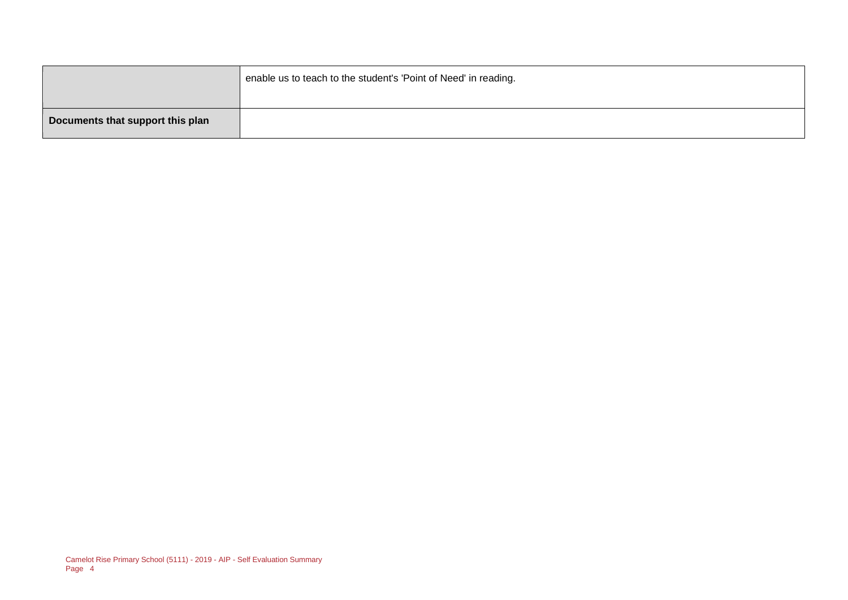|                                  | enable us to teach to the student's 'Point of Need' in reading. |
|----------------------------------|-----------------------------------------------------------------|
| Documents that support this plan |                                                                 |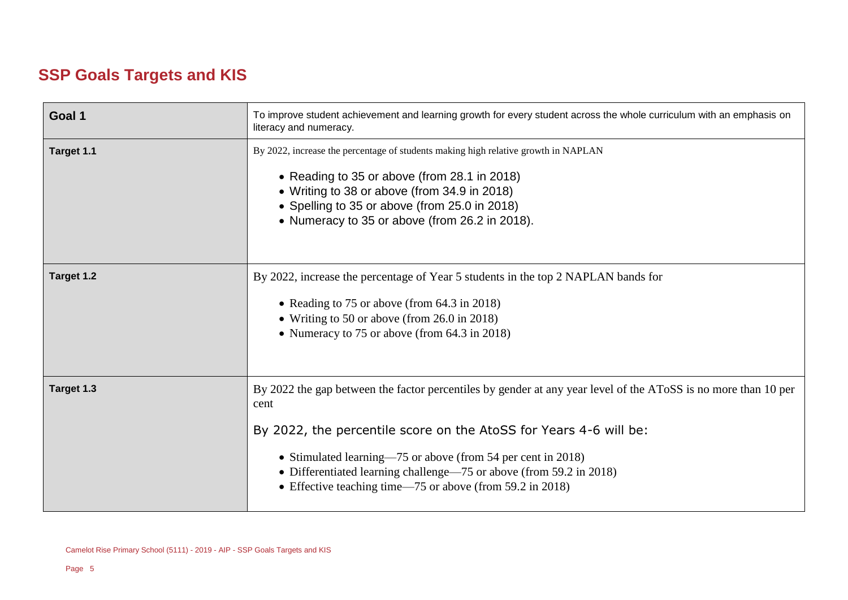## **SSP Goals Targets and KIS**

| Goal 1     | To improve student achievement and learning growth for every student across the whole curriculum with an emphasis on<br>literacy and numeracy.                                                                                                                                                                                                                                                  |  |  |
|------------|-------------------------------------------------------------------------------------------------------------------------------------------------------------------------------------------------------------------------------------------------------------------------------------------------------------------------------------------------------------------------------------------------|--|--|
| Target 1.1 | By 2022, increase the percentage of students making high relative growth in NAPLAN<br>• Reading to 35 or above (from 28.1 in 2018)<br>• Writing to 38 or above (from 34.9 in 2018)<br>• Spelling to 35 or above (from 25.0 in 2018)<br>• Numeracy to 35 or above (from 26.2 in 2018).                                                                                                           |  |  |
| Target 1.2 | By 2022, increase the percentage of Year 5 students in the top 2 NAPLAN bands for<br>• Reading to 75 or above (from 64.3 in 2018)<br>• Writing to 50 or above (from 26.0 in 2018)<br>• Numeracy to 75 or above (from 64.3 in 2018)                                                                                                                                                              |  |  |
| Target 1.3 | By 2022 the gap between the factor percentiles by gender at any year level of the AToSS is no more than 10 per<br>cent<br>By 2022, the percentile score on the AtoSS for Years 4-6 will be:<br>• Stimulated learning—75 or above (from 54 per cent in 2018)<br>• Differentiated learning challenge—75 or above (from 59.2 in 2018)<br>• Effective teaching time—75 or above (from 59.2 in 2018) |  |  |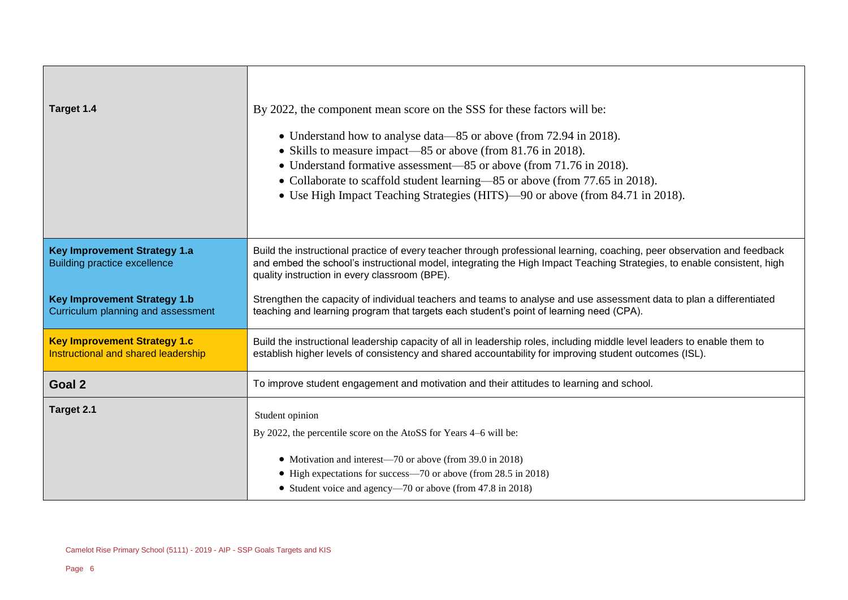| Target 1.4                                                                 | By 2022, the component mean score on the SSS for these factors will be:<br>• Understand how to analyse data—85 or above (from 72.94 in 2018).<br>• Skills to measure impact—85 or above (from 81.76 in 2018).<br>• Understand formative assessment—85 or above (from 71.76 in 2018).<br>• Collaborate to scaffold student learning—85 or above (from 77.65 in 2018).<br>• Use High Impact Teaching Strategies (HITS)—90 or above (from 84.71 in 2018). |  |
|----------------------------------------------------------------------------|--------------------------------------------------------------------------------------------------------------------------------------------------------------------------------------------------------------------------------------------------------------------------------------------------------------------------------------------------------------------------------------------------------------------------------------------------------|--|
| <b>Key Improvement Strategy 1.a</b><br><b>Building practice excellence</b> | Build the instructional practice of every teacher through professional learning, coaching, peer observation and feedback<br>and embed the school's instructional model, integrating the High Impact Teaching Strategies, to enable consistent, high<br>quality instruction in every classroom (BPE).                                                                                                                                                   |  |
| <b>Key Improvement Strategy 1.b</b><br>Curriculum planning and assessment  | Strengthen the capacity of individual teachers and teams to analyse and use assessment data to plan a differentiated<br>teaching and learning program that targets each student's point of learning need (CPA).                                                                                                                                                                                                                                        |  |
| <b>Key Improvement Strategy 1.c</b><br>Instructional and shared leadership | Build the instructional leadership capacity of all in leadership roles, including middle level leaders to enable them to<br>establish higher levels of consistency and shared accountability for improving student outcomes (ISL).                                                                                                                                                                                                                     |  |
| Goal 2                                                                     | To improve student engagement and motivation and their attitudes to learning and school.                                                                                                                                                                                                                                                                                                                                                               |  |
| Target 2.1                                                                 | Student opinion<br>By 2022, the percentile score on the AtoSS for Years 4–6 will be:<br>• Motivation and interest—70 or above (from 39.0 in 2018)<br>• High expectations for success—70 or above (from 28.5 in 2018)                                                                                                                                                                                                                                   |  |
|                                                                            | • Student voice and agency—70 or above (from 47.8 in 2018)                                                                                                                                                                                                                                                                                                                                                                                             |  |

٦

┓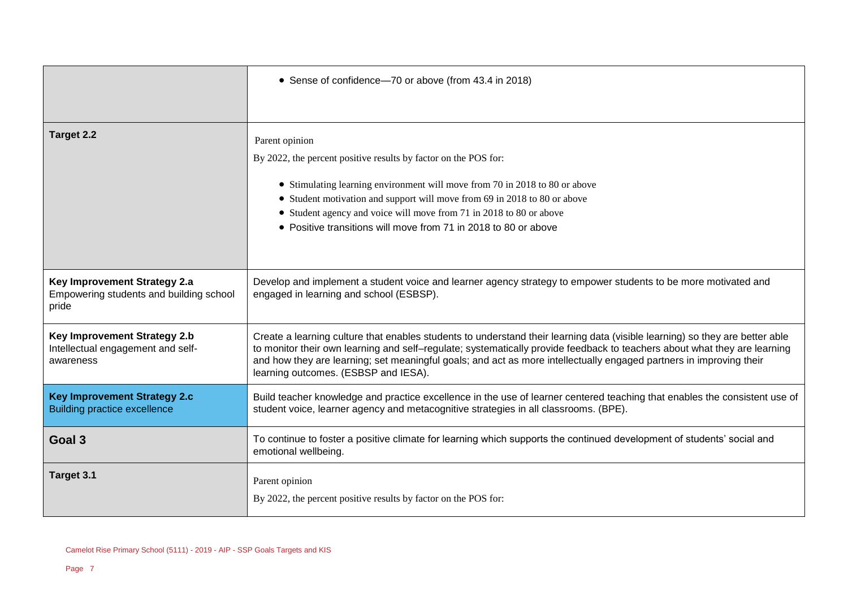|                                                                                  | • Sense of confidence-70 or above (from 43.4 in 2018)                                                                                                                                                                                                                                                                                                                                                                    |  |
|----------------------------------------------------------------------------------|--------------------------------------------------------------------------------------------------------------------------------------------------------------------------------------------------------------------------------------------------------------------------------------------------------------------------------------------------------------------------------------------------------------------------|--|
|                                                                                  |                                                                                                                                                                                                                                                                                                                                                                                                                          |  |
| Target 2.2                                                                       | Parent opinion<br>By 2022, the percent positive results by factor on the POS for:<br>• Stimulating learning environment will move from 70 in 2018 to 80 or above<br>• Student motivation and support will move from 69 in 2018 to 80 or above<br>• Student agency and voice will move from 71 in 2018 to 80 or above<br>• Positive transitions will move from 71 in 2018 to 80 or above                                  |  |
| Key Improvement Strategy 2.a<br>Empowering students and building school<br>pride | Develop and implement a student voice and learner agency strategy to empower students to be more motivated and<br>engaged in learning and school (ESBSP).                                                                                                                                                                                                                                                                |  |
| Key Improvement Strategy 2.b<br>Intellectual engagement and self-<br>awareness   | Create a learning culture that enables students to understand their learning data (visible learning) so they are better able<br>to monitor their own learning and self-regulate; systematically provide feedback to teachers about what they are learning<br>and how they are learning; set meaningful goals; and act as more intellectually engaged partners in improving their<br>learning outcomes. (ESBSP and IESA). |  |
| <b>Key Improvement Strategy 2.c</b><br><b>Building practice excellence</b>       | Build teacher knowledge and practice excellence in the use of learner centered teaching that enables the consistent use of<br>student voice, learner agency and metacognitive strategies in all classrooms. (BPE).                                                                                                                                                                                                       |  |
| Goal 3                                                                           | To continue to foster a positive climate for learning which supports the continued development of students' social and<br>emotional wellbeing.                                                                                                                                                                                                                                                                           |  |
| Target 3.1                                                                       | Parent opinion<br>By 2022, the percent positive results by factor on the POS for:                                                                                                                                                                                                                                                                                                                                        |  |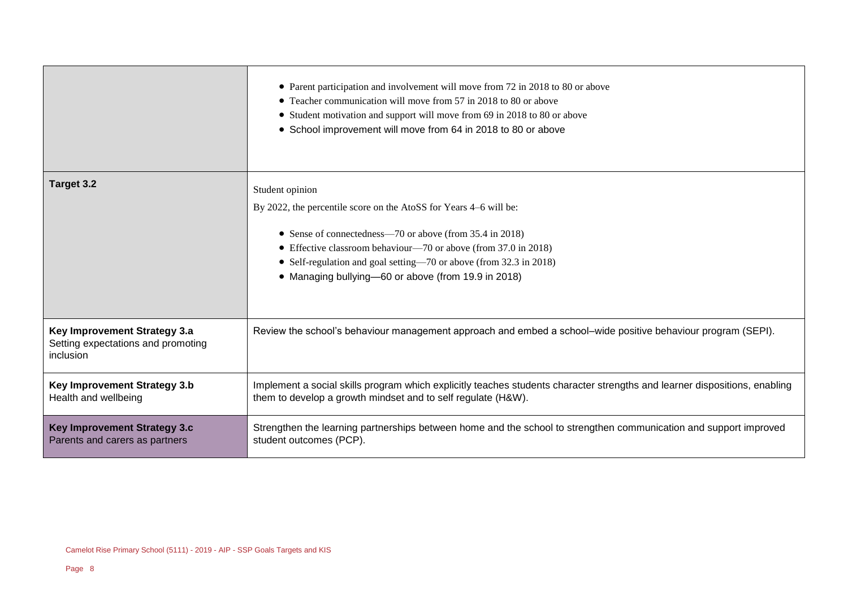|                                                                                 | • Parent participation and involvement will move from 72 in 2018 to 80 or above<br>• Teacher communication will move from 57 in 2018 to 80 or above<br>• Student motivation and support will move from 69 in 2018 to 80 or above<br>• School improvement will move from 64 in 2018 to 80 or above                                                |  |  |
|---------------------------------------------------------------------------------|--------------------------------------------------------------------------------------------------------------------------------------------------------------------------------------------------------------------------------------------------------------------------------------------------------------------------------------------------|--|--|
| Target 3.2                                                                      | Student opinion<br>By 2022, the percentile score on the AtoSS for Years 4–6 will be:<br>• Sense of connectedness—70 or above (from 35.4 in 2018)<br>• Effective classroom behaviour—70 or above (from 37.0 in 2018)<br>• Self-regulation and goal setting—70 or above (from 32.3 in 2018)<br>• Managing bullying—60 or above (from 19.9 in 2018) |  |  |
| Key Improvement Strategy 3.a<br>Setting expectations and promoting<br>inclusion | Review the school's behaviour management approach and embed a school–wide positive behaviour program (SEPI).                                                                                                                                                                                                                                     |  |  |
| <b>Key Improvement Strategy 3.b</b><br>Health and wellbeing                     | Implement a social skills program which explicitly teaches students character strengths and learner dispositions, enabling<br>them to develop a growth mindset and to self regulate (H&W).                                                                                                                                                       |  |  |
| <b>Key Improvement Strategy 3.c</b><br>Parents and carers as partners           | Strengthen the learning partnerships between home and the school to strengthen communication and support improved<br>student outcomes (PCP).                                                                                                                                                                                                     |  |  |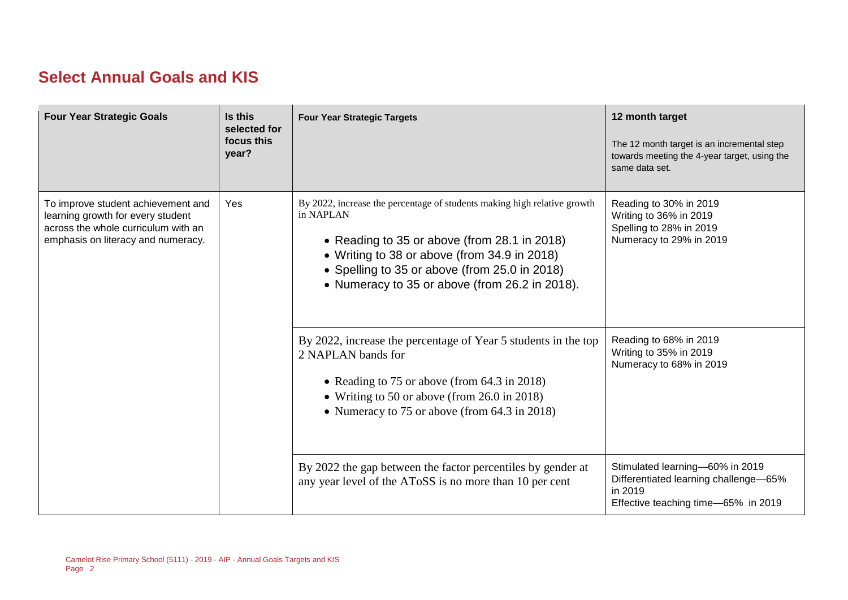### **Select Annual Goals and KIS**

| <b>Four Year Strategic Goals</b>                                                                                                                     | Is this<br>selected for<br>focus this<br>year? | <b>Four Year Strategic Targets</b>                                                                                                                                                                                                                                                       | 12 month target<br>The 12 month target is an incremental step<br>towards meeting the 4-year target, using the<br>same data set. |
|------------------------------------------------------------------------------------------------------------------------------------------------------|------------------------------------------------|------------------------------------------------------------------------------------------------------------------------------------------------------------------------------------------------------------------------------------------------------------------------------------------|---------------------------------------------------------------------------------------------------------------------------------|
| To improve student achievement and<br>learning growth for every student<br>across the whole curriculum with an<br>emphasis on literacy and numeracy. | Yes                                            | By 2022, increase the percentage of students making high relative growth<br>in NAPLAN<br>• Reading to 35 or above (from 28.1 in 2018)<br>• Writing to 38 or above (from 34.9 in 2018)<br>• Spelling to 35 or above (from 25.0 in 2018)<br>• Numeracy to 35 or above (from 26.2 in 2018). | Reading to 30% in 2019<br>Writing to 36% in 2019<br>Spelling to 28% in 2019<br>Numeracy to 29% in 2019                          |
|                                                                                                                                                      |                                                | By 2022, increase the percentage of Year 5 students in the top<br>2 NAPLAN bands for<br>• Reading to 75 or above (from 64.3 in 2018)<br>• Writing to 50 or above (from 26.0 in 2018)<br>• Numeracy to 75 or above (from 64.3 in 2018)                                                    | Reading to 68% in 2019<br>Writing to 35% in 2019<br>Numeracy to 68% in 2019                                                     |
|                                                                                                                                                      |                                                | By 2022 the gap between the factor percentiles by gender at<br>any year level of the AToSS is no more than 10 per cent                                                                                                                                                                   | Stimulated learning-60% in 2019<br>Differentiated learning challenge-65%<br>in 2019<br>Effective teaching time-65% in 2019      |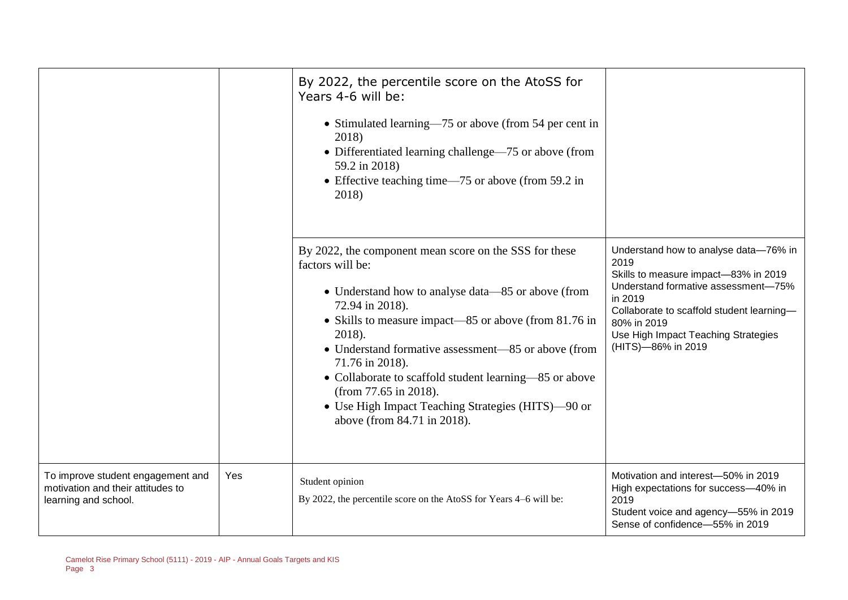|                                                                                                |     | By 2022, the percentile score on the AtoSS for<br>Years 4-6 will be:<br>• Stimulated learning—75 or above (from 54 per cent in<br>2018)<br>• Differentiated learning challenge—75 or above (from<br>59.2 in 2018)<br>• Effective teaching time—75 or above (from 59.2 in<br>2018)                                                                                                                                                                                        |                                                                                                                                                                                                                                                                  |
|------------------------------------------------------------------------------------------------|-----|--------------------------------------------------------------------------------------------------------------------------------------------------------------------------------------------------------------------------------------------------------------------------------------------------------------------------------------------------------------------------------------------------------------------------------------------------------------------------|------------------------------------------------------------------------------------------------------------------------------------------------------------------------------------------------------------------------------------------------------------------|
|                                                                                                |     | By 2022, the component mean score on the SSS for these<br>factors will be:<br>• Understand how to analyse data—85 or above (from<br>72.94 in 2018).<br>• Skills to measure impact—85 or above (from 81.76 in<br>2018).<br>• Understand formative assessment—85 or above (from<br>71.76 in 2018).<br>• Collaborate to scaffold student learning-85 or above<br>(from 77.65 in 2018).<br>• Use High Impact Teaching Strategies (HITS)—90 or<br>above (from 84.71 in 2018). | Understand how to analyse data-76% in<br>2019<br>Skills to measure impact-83% in 2019<br>Understand formative assessment-75%<br>in 2019<br>Collaborate to scaffold student learning-<br>80% in 2019<br>Use High Impact Teaching Strategies<br>(HITS)-86% in 2019 |
| To improve student engagement and<br>motivation and their attitudes to<br>learning and school. | Yes | Student opinion<br>By 2022, the percentile score on the AtoSS for Years 4–6 will be:                                                                                                                                                                                                                                                                                                                                                                                     | Motivation and interest-50% in 2019<br>High expectations for success-40% in<br>2019<br>Student voice and agency-55% in 2019<br>Sense of confidence-55% in 2019                                                                                                   |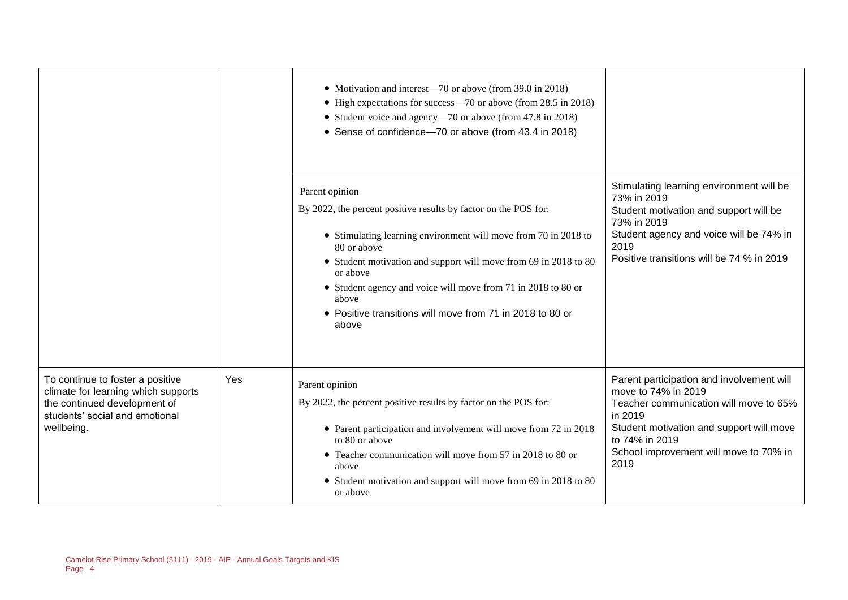|                                                                                                                                                         |     | • Motivation and interest—70 or above (from 39.0 in 2018)<br>• High expectations for success—70 or above (from 28.5 in 2018)<br>• Student voice and agency—70 or above (from 47.8 in 2018)<br>• Sense of confidence-70 or above (from 43.4 in 2018)                                                                                                                                                 |                                                                                                                                                                                                                                       |
|---------------------------------------------------------------------------------------------------------------------------------------------------------|-----|-----------------------------------------------------------------------------------------------------------------------------------------------------------------------------------------------------------------------------------------------------------------------------------------------------------------------------------------------------------------------------------------------------|---------------------------------------------------------------------------------------------------------------------------------------------------------------------------------------------------------------------------------------|
|                                                                                                                                                         |     | Parent opinion<br>By 2022, the percent positive results by factor on the POS for:<br>• Stimulating learning environment will move from 70 in 2018 to<br>80 or above<br>• Student motivation and support will move from 69 in 2018 to 80<br>or above<br>• Student agency and voice will move from 71 in 2018 to 80 or<br>above<br>• Positive transitions will move from 71 in 2018 to 80 or<br>above | Stimulating learning environment will be<br>73% in 2019<br>Student motivation and support will be<br>73% in 2019<br>Student agency and voice will be 74% in<br>2019<br>Positive transitions will be 74 % in 2019                      |
| To continue to foster a positive<br>climate for learning which supports<br>the continued development of<br>students' social and emotional<br>wellbeing. | Yes | Parent opinion<br>By 2022, the percent positive results by factor on the POS for:<br>• Parent participation and involvement will move from 72 in 2018<br>to 80 or above<br>• Teacher communication will move from 57 in 2018 to 80 or<br>above<br>• Student motivation and support will move from 69 in 2018 to 80<br>or above                                                                      | Parent participation and involvement will<br>move to 74% in 2019<br>Teacher communication will move to 65%<br>in 2019<br>Student motivation and support will move<br>to 74% in 2019<br>School improvement will move to 70% in<br>2019 |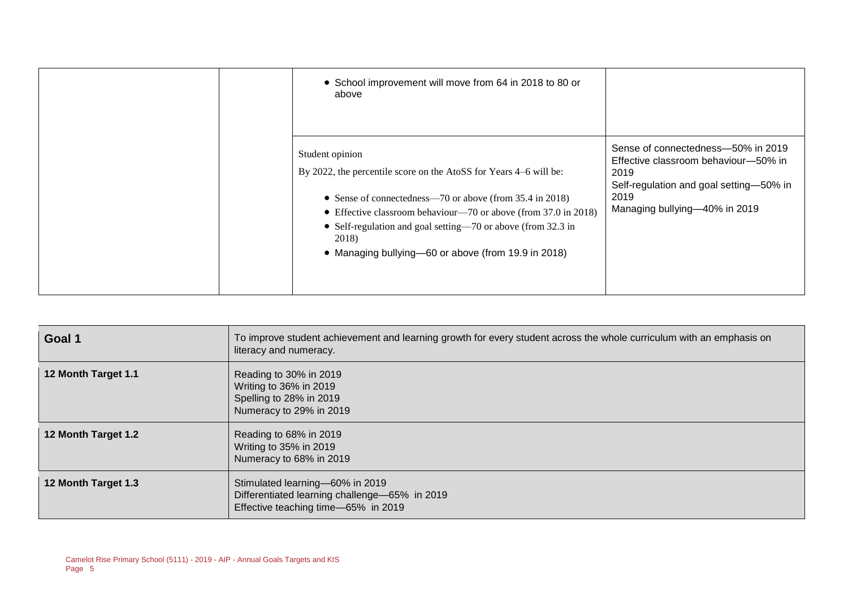|  | • School improvement will move from 64 in 2018 to 80 or<br>above                                                                                                                                                                                                                                                                                    |                                                                                                                                                                        |
|--|-----------------------------------------------------------------------------------------------------------------------------------------------------------------------------------------------------------------------------------------------------------------------------------------------------------------------------------------------------|------------------------------------------------------------------------------------------------------------------------------------------------------------------------|
|  | Student opinion<br>By 2022, the percentile score on the AtoSS for Years 4–6 will be:<br>• Sense of connectedness—70 or above (from 35.4 in 2018)<br>• Effective classroom behaviour—70 or above (from 37.0 in 2018)<br>• Self-regulation and goal setting—70 or above (from 32.3 in<br>2018)<br>• Managing bullying-60 or above (from 19.9 in 2018) | Sense of connectedness—50% in 2019<br>Effective classroom behaviour—50% in<br>2019<br>Self-regulation and goal setting-50% in<br>2019<br>Managing bullying-40% in 2019 |

| Goal 1              | To improve student achievement and learning growth for every student across the whole curriculum with an emphasis on<br>literacy and numeracy. |
|---------------------|------------------------------------------------------------------------------------------------------------------------------------------------|
| 12 Month Target 1.1 | Reading to 30% in 2019<br>Writing to 36% in 2019<br>Spelling to 28% in 2019<br>Numeracy to 29% in 2019                                         |
| 12 Month Target 1.2 | Reading to 68% in 2019<br>Writing to 35% in 2019<br>Numeracy to 68% in 2019                                                                    |
| 12 Month Target 1.3 | Stimulated learning-60% in 2019<br>Differentiated learning challenge-65% in 2019<br>Effective teaching time-65% in 2019                        |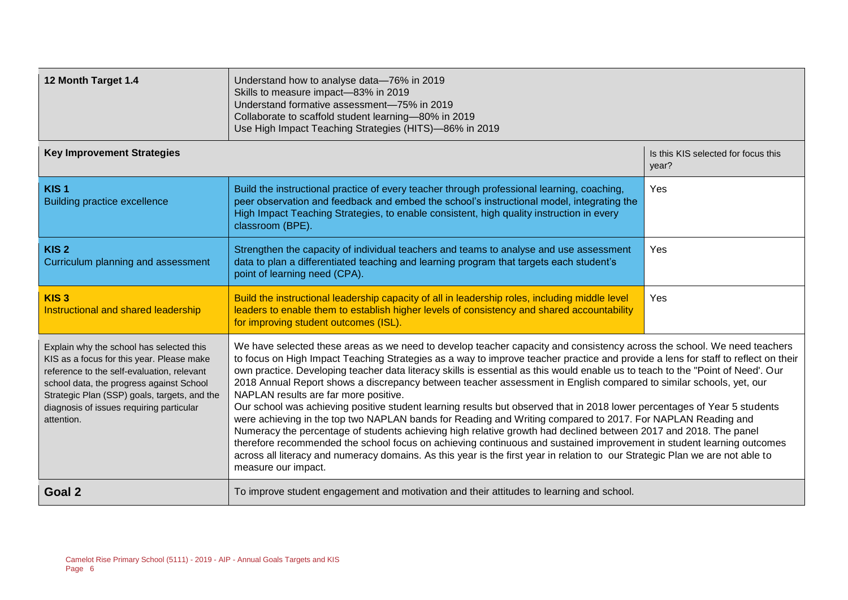| 12 Month Target 1.4<br>Understand how to analyse data-76% in 2019<br>Skills to measure impact-83% in 2019<br>Understand formative assessment-75% in 2019<br>Collaborate to scaffold student learning-80% in 2019<br>Use High Impact Teaching Strategies (HITS)-86% in 2019                |                                                                                                                                                                                                                                                                                                                                                                                                                                                                                                                                                                                                                                                                                                                                                                                                                                                                                                                                                                                                                                                                                                                                                                                                                 |                                              |  |  |
|-------------------------------------------------------------------------------------------------------------------------------------------------------------------------------------------------------------------------------------------------------------------------------------------|-----------------------------------------------------------------------------------------------------------------------------------------------------------------------------------------------------------------------------------------------------------------------------------------------------------------------------------------------------------------------------------------------------------------------------------------------------------------------------------------------------------------------------------------------------------------------------------------------------------------------------------------------------------------------------------------------------------------------------------------------------------------------------------------------------------------------------------------------------------------------------------------------------------------------------------------------------------------------------------------------------------------------------------------------------------------------------------------------------------------------------------------------------------------------------------------------------------------|----------------------------------------------|--|--|
| <b>Key Improvement Strategies</b>                                                                                                                                                                                                                                                         |                                                                                                                                                                                                                                                                                                                                                                                                                                                                                                                                                                                                                                                                                                                                                                                                                                                                                                                                                                                                                                                                                                                                                                                                                 | Is this KIS selected for focus this<br>year? |  |  |
| KIS <sub>1</sub><br><b>Building practice excellence</b>                                                                                                                                                                                                                                   | Build the instructional practice of every teacher through professional learning, coaching,<br>peer observation and feedback and embed the school's instructional model, integrating the<br>High Impact Teaching Strategies, to enable consistent, high quality instruction in every<br>classroom (BPE).                                                                                                                                                                                                                                                                                                                                                                                                                                                                                                                                                                                                                                                                                                                                                                                                                                                                                                         | Yes                                          |  |  |
| KIS <sub>2</sub><br>Curriculum planning and assessment                                                                                                                                                                                                                                    | Strengthen the capacity of individual teachers and teams to analyse and use assessment<br>data to plan a differentiated teaching and learning program that targets each student's<br>point of learning need (CPA).                                                                                                                                                                                                                                                                                                                                                                                                                                                                                                                                                                                                                                                                                                                                                                                                                                                                                                                                                                                              | Yes                                          |  |  |
| KIS <sub>3</sub><br>Instructional and shared leadership                                                                                                                                                                                                                                   | Build the instructional leadership capacity of all in leadership roles, including middle level<br>leaders to enable them to establish higher levels of consistency and shared accountability<br>for improving student outcomes (ISL).                                                                                                                                                                                                                                                                                                                                                                                                                                                                                                                                                                                                                                                                                                                                                                                                                                                                                                                                                                           | Yes                                          |  |  |
| Explain why the school has selected this<br>KIS as a focus for this year. Please make<br>reference to the self-evaluation, relevant<br>school data, the progress against School<br>Strategic Plan (SSP) goals, targets, and the<br>diagnosis of issues requiring particular<br>attention. | We have selected these areas as we need to develop teacher capacity and consistency across the school. We need teachers<br>to focus on High Impact Teaching Strategies as a way to improve teacher practice and provide a lens for staff to reflect on their<br>own practice. Developing teacher data literacy skills is essential as this would enable us to teach to the "Point of Need". Our<br>2018 Annual Report shows a discrepancy between teacher assessment in English compared to similar schools, yet, our<br>NAPLAN results are far more positive.<br>Our school was achieving positive student learning results but observed that in 2018 lower percentages of Year 5 students<br>were achieving in the top two NAPLAN bands for Reading and Writing compared to 2017. For NAPLAN Reading and<br>Numeracy the percentage of students achieving high relative growth had declined between 2017 and 2018. The panel<br>therefore recommended the school focus on achieving continuous and sustained improvement in student learning outcomes<br>across all literacy and numeracy domains. As this year is the first year in relation to our Strategic Plan we are not able to<br>measure our impact. |                                              |  |  |
| Goal 2                                                                                                                                                                                                                                                                                    | To improve student engagement and motivation and their attitudes to learning and school.                                                                                                                                                                                                                                                                                                                                                                                                                                                                                                                                                                                                                                                                                                                                                                                                                                                                                                                                                                                                                                                                                                                        |                                              |  |  |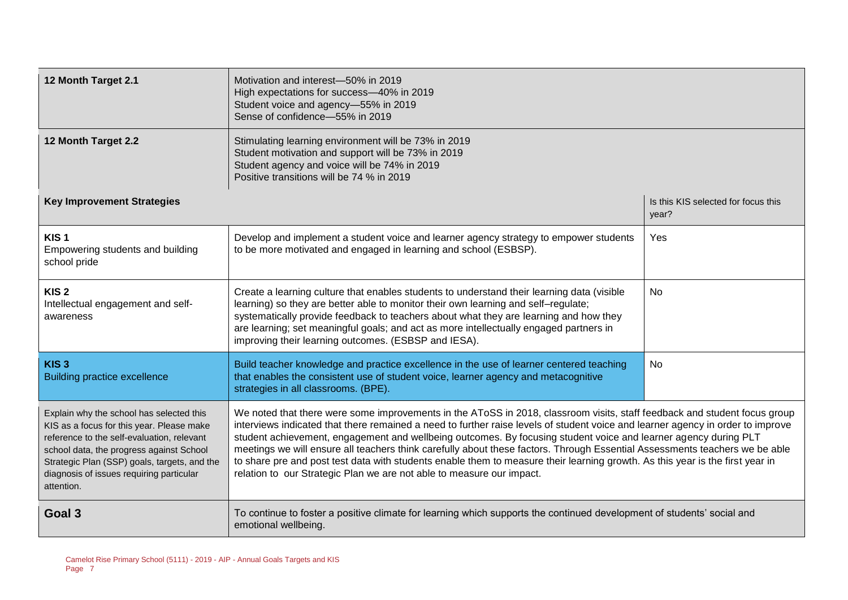| 12 Month Target 2.1                                                                                                                                                                                                                                                                       | Motivation and interest-50% in 2019<br>High expectations for success-40% in 2019<br>Student voice and agency-55% in 2019<br>Sense of confidence-55% in 2019                                                                                                                                                                                                                                                                                                                                                                                                                                                                                                                                                              |                                              |  |  |  |
|-------------------------------------------------------------------------------------------------------------------------------------------------------------------------------------------------------------------------------------------------------------------------------------------|--------------------------------------------------------------------------------------------------------------------------------------------------------------------------------------------------------------------------------------------------------------------------------------------------------------------------------------------------------------------------------------------------------------------------------------------------------------------------------------------------------------------------------------------------------------------------------------------------------------------------------------------------------------------------------------------------------------------------|----------------------------------------------|--|--|--|
| 12 Month Target 2.2                                                                                                                                                                                                                                                                       | Stimulating learning environment will be 73% in 2019<br>Student motivation and support will be 73% in 2019<br>Student agency and voice will be 74% in 2019<br>Positive transitions will be 74 % in 2019                                                                                                                                                                                                                                                                                                                                                                                                                                                                                                                  |                                              |  |  |  |
| <b>Key Improvement Strategies</b>                                                                                                                                                                                                                                                         |                                                                                                                                                                                                                                                                                                                                                                                                                                                                                                                                                                                                                                                                                                                          | Is this KIS selected for focus this<br>year? |  |  |  |
| KIS <sub>1</sub><br>Empowering students and building<br>school pride                                                                                                                                                                                                                      | Develop and implement a student voice and learner agency strategy to empower students<br>to be more motivated and engaged in learning and school (ESBSP).                                                                                                                                                                                                                                                                                                                                                                                                                                                                                                                                                                | Yes                                          |  |  |  |
| KIS <sub>2</sub><br>Intellectual engagement and self-<br>awareness                                                                                                                                                                                                                        | Create a learning culture that enables students to understand their learning data (visible<br>learning) so they are better able to monitor their own learning and self-regulate;<br>systematically provide feedback to teachers about what they are learning and how they<br>are learning; set meaningful goals; and act as more intellectually engaged partners in<br>improving their learning outcomes. (ESBSP and IESA).                                                                                                                                                                                                                                                                                              | No                                           |  |  |  |
| KIS <sub>3</sub><br><b>Building practice excellence</b>                                                                                                                                                                                                                                   | Build teacher knowledge and practice excellence in the use of learner centered teaching<br>that enables the consistent use of student voice, learner agency and metacognitive<br>strategies in all classrooms. (BPE).                                                                                                                                                                                                                                                                                                                                                                                                                                                                                                    | No                                           |  |  |  |
| Explain why the school has selected this<br>KIS as a focus for this year. Please make<br>reference to the self-evaluation, relevant<br>school data, the progress against School<br>Strategic Plan (SSP) goals, targets, and the<br>diagnosis of issues requiring particular<br>attention. | We noted that there were some improvements in the AToSS in 2018, classroom visits, staff feedback and student focus group<br>interviews indicated that there remained a need to further raise levels of student voice and learner agency in order to improve<br>student achievement, engagement and wellbeing outcomes. By focusing student voice and learner agency during PLT<br>meetings we will ensure all teachers think carefully about these factors. Through Essential Assessments teachers we be able<br>to share pre and post test data with students enable them to measure their learning growth. As this year is the first year in<br>relation to our Strategic Plan we are not able to measure our impact. |                                              |  |  |  |
| Goal 3                                                                                                                                                                                                                                                                                    | To continue to foster a positive climate for learning which supports the continued development of students' social and<br>emotional wellbeing.                                                                                                                                                                                                                                                                                                                                                                                                                                                                                                                                                                           |                                              |  |  |  |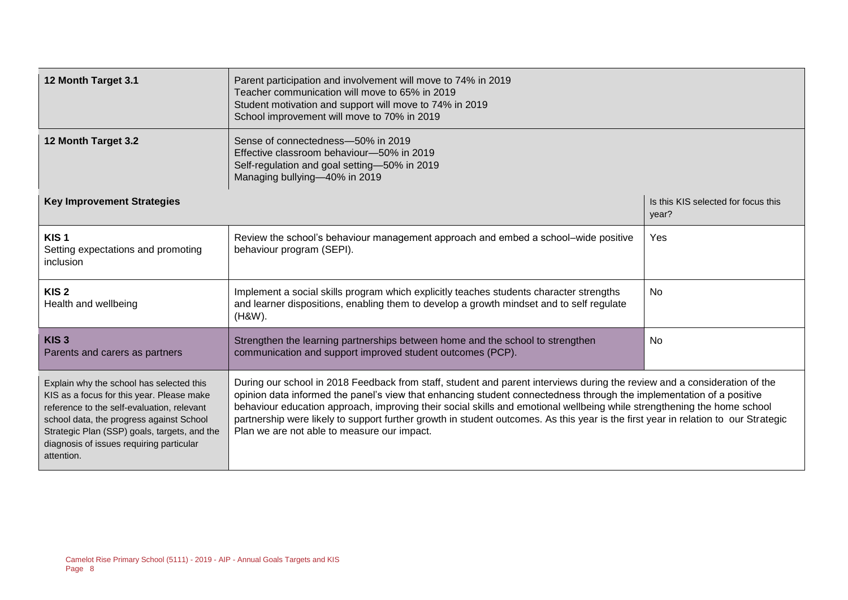| 12 Month Target 3.1                                                                                                                                                                                                                                                                       | Parent participation and involvement will move to 74% in 2019<br>Teacher communication will move to 65% in 2019<br>Student motivation and support will move to 74% in 2019<br>School improvement will move to 70% in 2019                                                                                                                                                                                                                                                                                                                                         |                                              |  |  |  |
|-------------------------------------------------------------------------------------------------------------------------------------------------------------------------------------------------------------------------------------------------------------------------------------------|-------------------------------------------------------------------------------------------------------------------------------------------------------------------------------------------------------------------------------------------------------------------------------------------------------------------------------------------------------------------------------------------------------------------------------------------------------------------------------------------------------------------------------------------------------------------|----------------------------------------------|--|--|--|
| 12 Month Target 3.2                                                                                                                                                                                                                                                                       | Sense of connectedness-50% in 2019<br>Effective classroom behaviour-50% in 2019<br>Self-regulation and goal setting-50% in 2019<br>Managing bullying-40% in 2019                                                                                                                                                                                                                                                                                                                                                                                                  |                                              |  |  |  |
| <b>Key Improvement Strategies</b>                                                                                                                                                                                                                                                         |                                                                                                                                                                                                                                                                                                                                                                                                                                                                                                                                                                   | Is this KIS selected for focus this<br>year? |  |  |  |
| KIS <sub>1</sub><br>Setting expectations and promoting<br>inclusion                                                                                                                                                                                                                       | Review the school's behaviour management approach and embed a school-wide positive<br>behaviour program (SEPI).                                                                                                                                                                                                                                                                                                                                                                                                                                                   | Yes                                          |  |  |  |
| KIS <sub>2</sub><br>Health and wellbeing                                                                                                                                                                                                                                                  | Implement a social skills program which explicitly teaches students character strengths<br>and learner dispositions, enabling them to develop a growth mindset and to self regulate<br>(H&W).                                                                                                                                                                                                                                                                                                                                                                     | No                                           |  |  |  |
| KIS <sub>3</sub><br>Parents and carers as partners                                                                                                                                                                                                                                        | Strengthen the learning partnerships between home and the school to strengthen<br>communication and support improved student outcomes (PCP).                                                                                                                                                                                                                                                                                                                                                                                                                      | <b>No</b>                                    |  |  |  |
| Explain why the school has selected this<br>KIS as a focus for this year. Please make<br>reference to the self-evaluation, relevant<br>school data, the progress against School<br>Strategic Plan (SSP) goals, targets, and the<br>diagnosis of issues requiring particular<br>attention. | During our school in 2018 Feedback from staff, student and parent interviews during the review and a consideration of the<br>opinion data informed the panel's view that enhancing student connectedness through the implementation of a positive<br>behaviour education approach, improving their social skills and emotional wellbeing while strengthening the home school<br>partnership were likely to support further growth in student outcomes. As this year is the first year in relation to our Strategic<br>Plan we are not able to measure our impact. |                                              |  |  |  |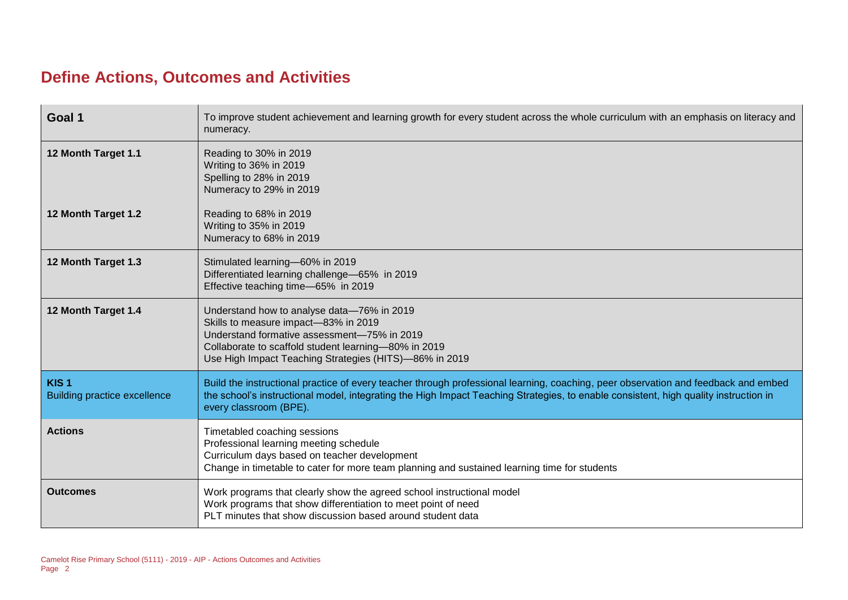#### **Define Actions, Outcomes and Activities**

| Goal 1                                                  | To improve student achievement and learning growth for every student across the whole curriculum with an emphasis on literacy and<br>numeracy.                                                                                                                                                       |
|---------------------------------------------------------|------------------------------------------------------------------------------------------------------------------------------------------------------------------------------------------------------------------------------------------------------------------------------------------------------|
| 12 Month Target 1.1                                     | Reading to 30% in 2019<br>Writing to 36% in 2019<br>Spelling to 28% in 2019<br>Numeracy to 29% in 2019                                                                                                                                                                                               |
| 12 Month Target 1.2                                     | Reading to 68% in 2019<br>Writing to 35% in 2019<br>Numeracy to 68% in 2019                                                                                                                                                                                                                          |
| 12 Month Target 1.3                                     | Stimulated learning-60% in 2019<br>Differentiated learning challenge-65% in 2019<br>Effective teaching time-65% in 2019                                                                                                                                                                              |
| 12 Month Target 1.4                                     | Understand how to analyse data-76% in 2019<br>Skills to measure impact-83% in 2019<br>Understand formative assessment-75% in 2019<br>Collaborate to scaffold student learning-80% in 2019<br>Use High Impact Teaching Strategies (HITS)-86% in 2019                                                  |
| KIS <sub>1</sub><br><b>Building practice excellence</b> | Build the instructional practice of every teacher through professional learning, coaching, peer observation and feedback and embed<br>the school's instructional model, integrating the High Impact Teaching Strategies, to enable consistent, high quality instruction in<br>every classroom (BPE). |
| <b>Actions</b>                                          | Timetabled coaching sessions<br>Professional learning meeting schedule<br>Curriculum days based on teacher development<br>Change in timetable to cater for more team planning and sustained learning time for students                                                                               |
| <b>Outcomes</b>                                         | Work programs that clearly show the agreed school instructional model<br>Work programs that show differentiation to meet point of need<br>PLT minutes that show discussion based around student data                                                                                                 |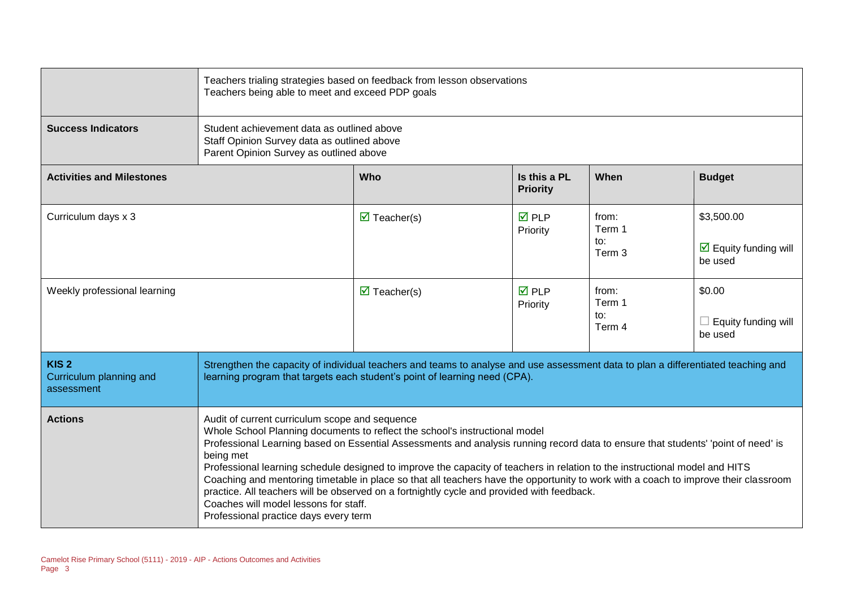|                                                           | Teachers trialing strategies based on feedback from lesson observations<br>Teachers being able to meet and exceed PDP goals                                                                                                                                                                                                                                                                                                                                                                                                                                                                                                                                                                                                           |                                    |                                 |                                             |                                                               |  |
|-----------------------------------------------------------|---------------------------------------------------------------------------------------------------------------------------------------------------------------------------------------------------------------------------------------------------------------------------------------------------------------------------------------------------------------------------------------------------------------------------------------------------------------------------------------------------------------------------------------------------------------------------------------------------------------------------------------------------------------------------------------------------------------------------------------|------------------------------------|---------------------------------|---------------------------------------------|---------------------------------------------------------------|--|
| <b>Success Indicators</b>                                 | Student achievement data as outlined above<br>Staff Opinion Survey data as outlined above<br>Parent Opinion Survey as outlined above                                                                                                                                                                                                                                                                                                                                                                                                                                                                                                                                                                                                  |                                    |                                 |                                             |                                                               |  |
| <b>Activities and Milestones</b>                          |                                                                                                                                                                                                                                                                                                                                                                                                                                                                                                                                                                                                                                                                                                                                       | Who                                | Is this a PL<br><b>Priority</b> | When                                        | <b>Budget</b>                                                 |  |
| Curriculum days x 3                                       |                                                                                                                                                                                                                                                                                                                                                                                                                                                                                                                                                                                                                                                                                                                                       | $\overline{\mathbf{M}}$ Teacher(s) | $\overline{M}$ PLP<br>Priority  | from:<br>Term 1<br>to:<br>Term <sub>3</sub> | \$3,500.00<br>$\triangleright$ Equity funding will<br>be used |  |
| Weekly professional learning                              |                                                                                                                                                                                                                                                                                                                                                                                                                                                                                                                                                                                                                                                                                                                                       | $\overline{\mathbf{M}}$ Teacher(s) | $\overline{M}$ PLP<br>Priority  | from:<br>Term 1<br>to:<br>Term 4            | \$0.00<br>Equity funding will<br>be used                      |  |
| KIS <sub>2</sub><br>Curriculum planning and<br>assessment | Strengthen the capacity of individual teachers and teams to analyse and use assessment data to plan a differentiated teaching and<br>learning program that targets each student's point of learning need (CPA).                                                                                                                                                                                                                                                                                                                                                                                                                                                                                                                       |                                    |                                 |                                             |                                                               |  |
| <b>Actions</b>                                            | Audit of current curriculum scope and sequence<br>Whole School Planning documents to reflect the school's instructional model<br>Professional Learning based on Essential Assessments and analysis running record data to ensure that students' 'point of need' is<br>being met<br>Professional learning schedule designed to improve the capacity of teachers in relation to the instructional model and HITS<br>Coaching and mentoring timetable in place so that all teachers have the opportunity to work with a coach to improve their classroom<br>practice. All teachers will be observed on a fortnightly cycle and provided with feedback.<br>Coaches will model lessons for staff.<br>Professional practice days every term |                                    |                                 |                                             |                                                               |  |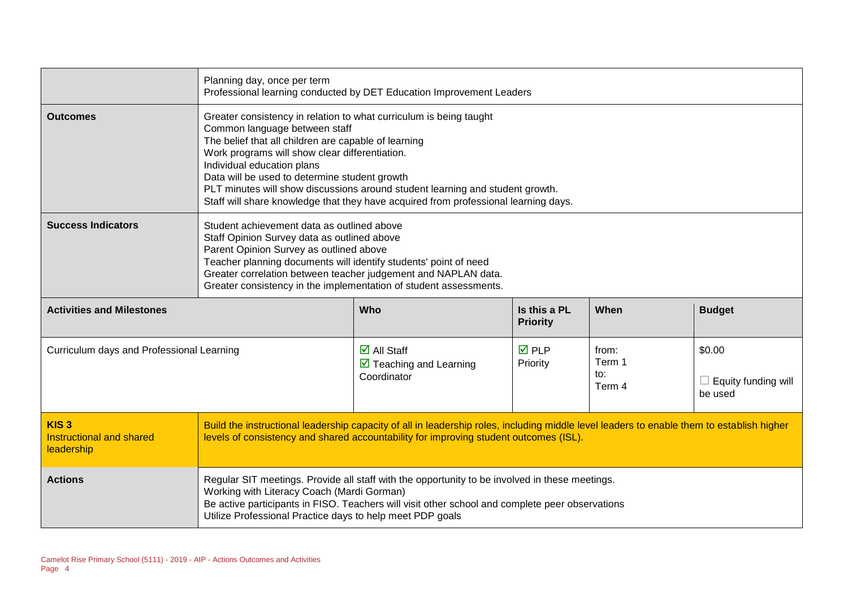|                                                            | Planning day, once per term<br>Professional learning conducted by DET Education Improvement Leaders                                                                                                                                                                                                                                                                                                                                                                  |                                                                                                                                                                                                   |                                 |                                  |                                                 |  |
|------------------------------------------------------------|----------------------------------------------------------------------------------------------------------------------------------------------------------------------------------------------------------------------------------------------------------------------------------------------------------------------------------------------------------------------------------------------------------------------------------------------------------------------|---------------------------------------------------------------------------------------------------------------------------------------------------------------------------------------------------|---------------------------------|----------------------------------|-------------------------------------------------|--|
| <b>Outcomes</b>                                            | Greater consistency in relation to what curriculum is being taught<br>Common language between staff<br>The belief that all children are capable of learning<br>Work programs will show clear differentiation.<br>Individual education plans<br>Data will be used to determine student growth<br>PLT minutes will show discussions around student learning and student growth.<br>Staff will share knowledge that they have acquired from professional learning days. |                                                                                                                                                                                                   |                                 |                                  |                                                 |  |
| <b>Success Indicators</b>                                  | Student achievement data as outlined above<br>Staff Opinion Survey data as outlined above<br>Parent Opinion Survey as outlined above<br>Teacher planning documents will identify students' point of need<br>Greater correlation between teacher judgement and NAPLAN data.<br>Greater consistency in the implementation of student assessments.                                                                                                                      |                                                                                                                                                                                                   |                                 |                                  |                                                 |  |
| <b>Activities and Milestones</b>                           |                                                                                                                                                                                                                                                                                                                                                                                                                                                                      | Who                                                                                                                                                                                               | Is this a PL<br><b>Priority</b> | When                             | <b>Budget</b>                                   |  |
| Curriculum days and Professional Learning                  |                                                                                                                                                                                                                                                                                                                                                                                                                                                                      | $\overline{\mathsf{d}}$ All Staff<br>$\overline{\mathbf{2}}$ Teaching and Learning<br>Coordinator                                                                                                 | <b>☑</b> PLP<br>Priority        | from:<br>Term 1<br>to:<br>Term 4 | \$0.00<br>$\Box$ Equity funding will<br>be used |  |
| KIS <sub>3</sub><br>Instructional and shared<br>leadership | Build the instructional leadership capacity of all in leadership roles, including middle level leaders to enable them to establish higher<br>levels of consistency and shared accountability for improving student outcomes (ISL).                                                                                                                                                                                                                                   |                                                                                                                                                                                                   |                                 |                                  |                                                 |  |
| <b>Actions</b>                                             | Working with Literacy Coach (Mardi Gorman)<br>Utilize Professional Practice days to help meet PDP goals                                                                                                                                                                                                                                                                                                                                                              | Regular SIT meetings. Provide all staff with the opportunity to be involved in these meetings.<br>Be active participants in FISO. Teachers will visit other school and complete peer observations |                                 |                                  |                                                 |  |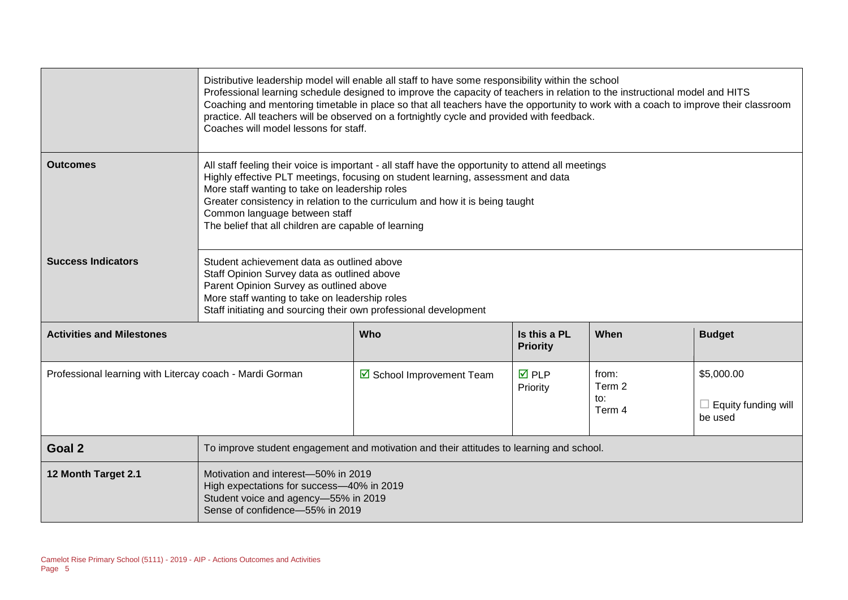|                                                          | Distributive leadership model will enable all staff to have some responsibility within the school<br>Professional learning schedule designed to improve the capacity of teachers in relation to the instructional model and HITS<br>Coaching and mentoring timetable in place so that all teachers have the opportunity to work with a coach to improve their classroom<br>practice. All teachers will be observed on a fortnightly cycle and provided with feedback.<br>Coaches will model lessons for staff. |                           |                                 |                                  |                                                     |
|----------------------------------------------------------|----------------------------------------------------------------------------------------------------------------------------------------------------------------------------------------------------------------------------------------------------------------------------------------------------------------------------------------------------------------------------------------------------------------------------------------------------------------------------------------------------------------|---------------------------|---------------------------------|----------------------------------|-----------------------------------------------------|
| <b>Outcomes</b>                                          | All staff feeling their voice is important - all staff have the opportunity to attend all meetings<br>Highly effective PLT meetings, focusing on student learning, assessment and data<br>More staff wanting to take on leadership roles<br>Greater consistency in relation to the curriculum and how it is being taught<br>Common language between staff<br>The belief that all children are capable of learning                                                                                              |                           |                                 |                                  |                                                     |
| <b>Success Indicators</b>                                | Student achievement data as outlined above<br>Staff Opinion Survey data as outlined above<br>Parent Opinion Survey as outlined above<br>More staff wanting to take on leadership roles<br>Staff initiating and sourcing their own professional development                                                                                                                                                                                                                                                     |                           |                                 |                                  |                                                     |
| <b>Activities and Milestones</b>                         |                                                                                                                                                                                                                                                                                                                                                                                                                                                                                                                | Who                       | Is this a PL<br><b>Priority</b> | When                             | <b>Budget</b>                                       |
| Professional learning with Litercay coach - Mardi Gorman |                                                                                                                                                                                                                                                                                                                                                                                                                                                                                                                | ☑ School Improvement Team | $\overline{M}$ PLP<br>Priority  | from:<br>Term 2<br>to:<br>Term 4 | \$5,000.00<br>$\Box$ Equity funding will<br>be used |
| Goal 2                                                   | To improve student engagement and motivation and their attitudes to learning and school.                                                                                                                                                                                                                                                                                                                                                                                                                       |                           |                                 |                                  |                                                     |
| 12 Month Target 2.1                                      | Motivation and interest-50% in 2019<br>High expectations for success-40% in 2019<br>Student voice and agency-55% in 2019<br>Sense of confidence-55% in 2019                                                                                                                                                                                                                                                                                                                                                    |                           |                                 |                                  |                                                     |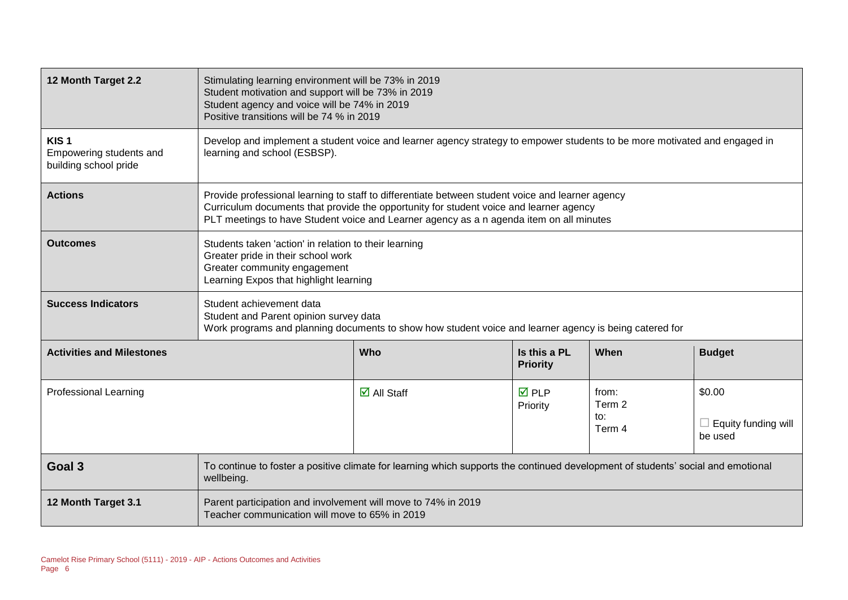| 12 Month Target 2.2                                                  | Stimulating learning environment will be 73% in 2019<br>Student motivation and support will be 73% in 2019<br>Student agency and voice will be 74% in 2019<br>Positive transitions will be 74 % in 2019 |                                                                                                                                                                                                                                                                                       |                                 |      |               |  |  |
|----------------------------------------------------------------------|---------------------------------------------------------------------------------------------------------------------------------------------------------------------------------------------------------|---------------------------------------------------------------------------------------------------------------------------------------------------------------------------------------------------------------------------------------------------------------------------------------|---------------------------------|------|---------------|--|--|
| KIS <sub>1</sub><br>Empowering students and<br>building school pride | Develop and implement a student voice and learner agency strategy to empower students to be more motivated and engaged in<br>learning and school (ESBSP).                                               |                                                                                                                                                                                                                                                                                       |                                 |      |               |  |  |
| <b>Actions</b>                                                       |                                                                                                                                                                                                         | Provide professional learning to staff to differentiate between student voice and learner agency<br>Curriculum documents that provide the opportunity for student voice and learner agency<br>PLT meetings to have Student voice and Learner agency as a n agenda item on all minutes |                                 |      |               |  |  |
| <b>Outcomes</b>                                                      | Students taken 'action' in relation to their learning<br>Greater pride in their school work<br>Greater community engagement<br>Learning Expos that highlight learning                                   |                                                                                                                                                                                                                                                                                       |                                 |      |               |  |  |
| <b>Success Indicators</b>                                            | Student achievement data<br>Student and Parent opinion survey data<br>Work programs and planning documents to show how student voice and learner agency is being catered for                            |                                                                                                                                                                                                                                                                                       |                                 |      |               |  |  |
| <b>Activities and Milestones</b>                                     |                                                                                                                                                                                                         | <b>Who</b>                                                                                                                                                                                                                                                                            | Is this a PL<br><b>Priority</b> | When | <b>Budget</b> |  |  |
| <b>Professional Learning</b>                                         | $\overline{M}$ PLP<br>\$0.00<br>$\overline{\mathbf{z}}$ All Staff<br>from:<br>Term 2<br>Priority<br>to:<br>Equity funding will<br>Term 4<br>be used                                                     |                                                                                                                                                                                                                                                                                       |                                 |      |               |  |  |
| Goal 3                                                               | To continue to foster a positive climate for learning which supports the continued development of students' social and emotional<br>wellbeing.                                                          |                                                                                                                                                                                                                                                                                       |                                 |      |               |  |  |
| 12 Month Target 3.1                                                  | Parent participation and involvement will move to 74% in 2019<br>Teacher communication will move to 65% in 2019                                                                                         |                                                                                                                                                                                                                                                                                       |                                 |      |               |  |  |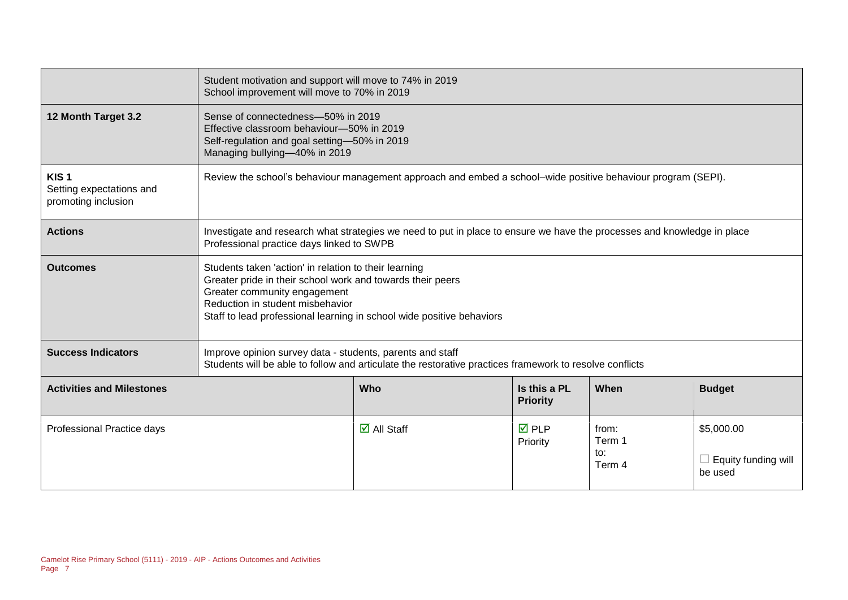|                                                                     | Student motivation and support will move to 74% in 2019<br>School improvement will move to 70% in 2019                                                                                                                                                           |                                                                                                                                                                      |                          |                                  |                                                     |  |
|---------------------------------------------------------------------|------------------------------------------------------------------------------------------------------------------------------------------------------------------------------------------------------------------------------------------------------------------|----------------------------------------------------------------------------------------------------------------------------------------------------------------------|--------------------------|----------------------------------|-----------------------------------------------------|--|
| 12 Month Target 3.2                                                 | Sense of connectedness-50% in 2019<br>Effective classroom behaviour-50% in 2019<br>Self-regulation and goal setting-50% in 2019<br>Managing bullying-40% in 2019                                                                                                 |                                                                                                                                                                      |                          |                                  |                                                     |  |
| KIS <sub>1</sub><br>Setting expectations and<br>promoting inclusion |                                                                                                                                                                                                                                                                  | Review the school's behaviour management approach and embed a school–wide positive behaviour program (SEPI).                                                         |                          |                                  |                                                     |  |
| <b>Actions</b>                                                      |                                                                                                                                                                                                                                                                  | Investigate and research what strategies we need to put in place to ensure we have the processes and knowledge in place<br>Professional practice days linked to SWPB |                          |                                  |                                                     |  |
| <b>Outcomes</b>                                                     | Students taken 'action' in relation to their learning<br>Greater pride in their school work and towards their peers<br>Greater community engagement<br>Reduction in student misbehavior<br>Staff to lead professional learning in school wide positive behaviors |                                                                                                                                                                      |                          |                                  |                                                     |  |
| <b>Success Indicators</b>                                           | Improve opinion survey data - students, parents and staff<br>Students will be able to follow and articulate the restorative practices framework to resolve conflicts                                                                                             |                                                                                                                                                                      |                          |                                  |                                                     |  |
| <b>Activities and Milestones</b>                                    | Is this a PL<br>When<br><b>Budget</b><br>Who<br><b>Priority</b>                                                                                                                                                                                                  |                                                                                                                                                                      |                          |                                  |                                                     |  |
| Professional Practice days                                          |                                                                                                                                                                                                                                                                  | $\overline{\mathsf{M}}$ All Staff                                                                                                                                    | <b>☑</b> PLP<br>Priority | from:<br>Term 1<br>to:<br>Term 4 | \$5,000.00<br>$\Box$ Equity funding will<br>be used |  |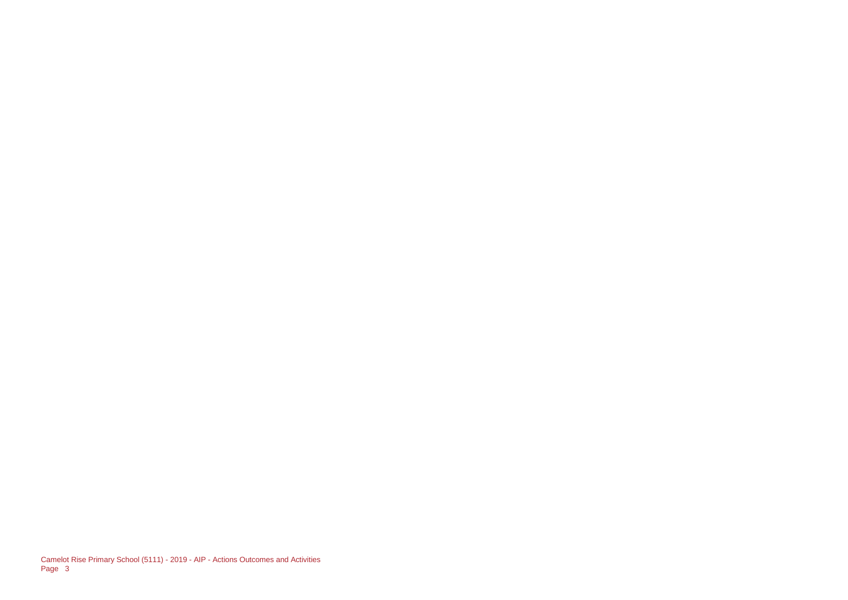Camelot Rise Primary School (5111) - 2019 - AIP - Actions Outcomes and Activities Page 3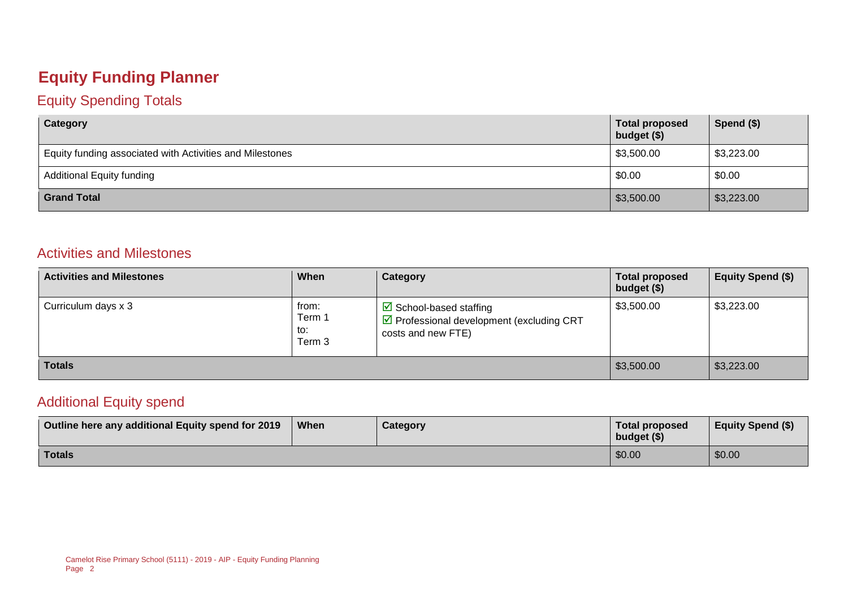### **Equity Funding Planner**

#### Equity Spending Totals

| Category                                                 | <b>Total proposed</b><br>budget (\$) | Spend (\$) |
|----------------------------------------------------------|--------------------------------------|------------|
| Equity funding associated with Activities and Milestones | \$3,500.00                           | \$3,223.00 |
| <b>Additional Equity funding</b>                         | \$0.00                               | \$0.00     |
| <b>Grand Total</b>                                       | \$3,500.00                           | \$3,223.00 |

#### Activities and Milestones

| <b>Activities and Milestones</b> | When                             | Category                                                                                                                 | <b>Total proposed</b><br>budget (\$) | <b>Equity Spend (\$)</b> |
|----------------------------------|----------------------------------|--------------------------------------------------------------------------------------------------------------------------|--------------------------------------|--------------------------|
| Curriculum days x 3              | from:<br>Term 1<br>to:<br>Term 3 | $\triangleright$ School-based staffing<br>$\triangleright$ Professional development (excluding CRT<br>costs and new FTE) | \$3,500.00                           | \$3,223.00               |
| <b>Totals</b>                    |                                  |                                                                                                                          |                                      | \$3,223.00               |

#### Additional Equity spend

| Outline here any additional Equity spend for 2019 | <b>When</b> | Category | Total proposed<br>budget (\$) | <b>Equity Spend (\$)</b> |
|---------------------------------------------------|-------------|----------|-------------------------------|--------------------------|
| <b>Totals</b>                                     |             |          | \$0.00                        | \$0.00                   |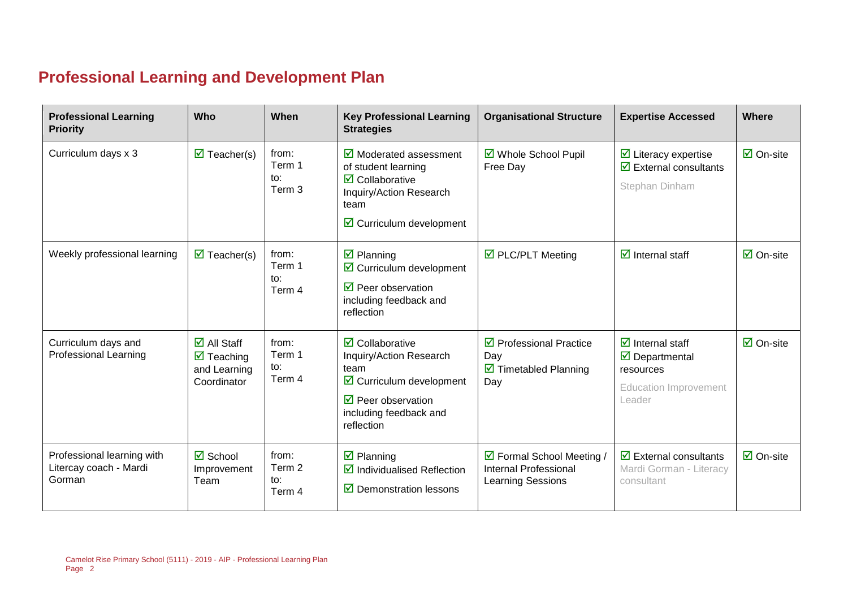## **Professional Learning and Development Plan**

| <b>Professional Learning</b><br><b>Priority</b>                | Who                                                                                                    | When                             | <b>Key Professional Learning</b><br><b>Strategies</b>                                                                                                                                    | <b>Organisational Structure</b>                                                | <b>Expertise Accessed</b>                                                                                                            | Where                           |
|----------------------------------------------------------------|--------------------------------------------------------------------------------------------------------|----------------------------------|------------------------------------------------------------------------------------------------------------------------------------------------------------------------------------------|--------------------------------------------------------------------------------|--------------------------------------------------------------------------------------------------------------------------------------|---------------------------------|
| Curriculum days x 3                                            | $\overline{\mathbf{z}}$ Teacher(s)                                                                     | from:<br>Term 1<br>to:<br>Term 3 | $\boxtimes$ Moderated assessment<br>of student learning<br>$\overline{\mathbf{z}}$ Collaborative<br>Inquiry/Action Research<br>team<br>$\boxdot$ Curriculum development                  | ☑ Whole School Pupil<br>Free Day                                               | $\triangleright$ Literacy expertise<br>$\overline{\mathbf{u}}$ External consultants<br>Stephan Dinham                                | $\overline{\mathsf{M}}$ On-site |
| Weekly professional learning                                   | $\overline{\mathbf{M}}$ Teacher(s)                                                                     | from:<br>Term 1<br>to:<br>Term 4 | $\boxtimes$ Planning<br>$\triangleright$ Curriculum development<br>$\triangledown$ Peer observation<br>including feedback and<br>reflection                                              | ☑ PLC/PLT Meeting                                                              | $\overline{\mathbf{M}}$ Internal staff                                                                                               | $\boxtimes$ On-site             |
| Curriculum days and<br><b>Professional Learning</b>            | $\overline{\blacksquare}$ All Staff<br>$\overline{\mathbf{M}}$ Teaching<br>and Learning<br>Coordinator | from:<br>Term 1<br>to:<br>Term 4 | $\overline{\mathbf{M}}$ Collaborative<br>Inquiry/Action Research<br>team<br>$\boxdot$ Curriculum development<br>$\triangledown$ Peer observation<br>including feedback and<br>reflection | $\triangleright$ Professional Practice<br>Day<br>☑ Timetabled Planning<br>Day  | $\overline{\boxtimes}$ Internal staff<br>$\overline{\mathbf{z}}$ Departmental<br>resources<br><b>Education Improvement</b><br>Leader | $\overline{\mathsf{M}}$ On-site |
| Professional learning with<br>Litercay coach - Mardi<br>Gorman | $\boxtimes$ School<br>Improvement<br>Team                                                              | from:<br>Term 2<br>to:<br>Term 4 | $\boxtimes$ Planning<br>$\boxtimes$ Individualised Reflection<br>$\triangleright$ Demonstration lessons                                                                                  | ☑ Formal School Meeting /<br><b>Internal Professional</b><br>Learning Sessions | $\overline{\mathbf{M}}$ External consultants<br>Mardi Gorman - Literacy<br>consultant                                                | $\overline{\Box}$ On-site       |